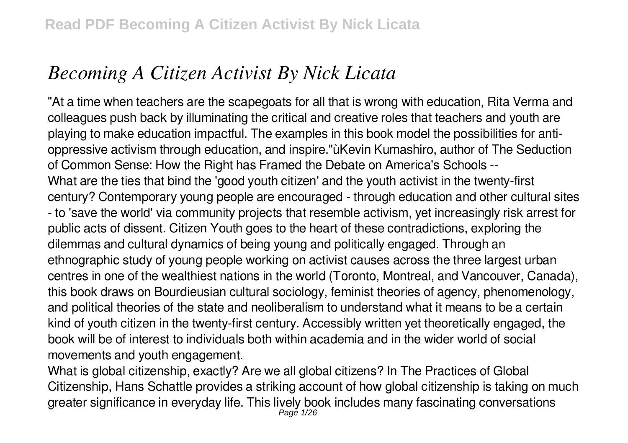# *Becoming A Citizen Activist By Nick Licata*

"At a time when teachers are the scapegoats for all that is wrong with education, Rita Verma and colleagues push back by illuminating the critical and creative roles that teachers and youth are playing to make education impactful. The examples in this book model the possibilities for antioppressive activism through education, and inspire."ùKevin Kumashiro, author of The Seduction of Common Sense: How the Right has Framed the Debate on America's Schools -- What are the ties that bind the 'good youth citizen' and the youth activist in the twenty-first century? Contemporary young people are encouraged - through education and other cultural sites - to 'save the world' via community projects that resemble activism, yet increasingly risk arrest for public acts of dissent. Citizen Youth goes to the heart of these contradictions, exploring the dilemmas and cultural dynamics of being young and politically engaged. Through an ethnographic study of young people working on activist causes across the three largest urban centres in one of the wealthiest nations in the world (Toronto, Montreal, and Vancouver, Canada), this book draws on Bourdieusian cultural sociology, feminist theories of agency, phenomenology, and political theories of the state and neoliberalism to understand what it means to be a certain kind of youth citizen in the twenty-first century. Accessibly written yet theoretically engaged, the book will be of interest to individuals both within academia and in the wider world of social movements and youth engagement.

What is global citizenship, exactly? Are we all global citizens? In The Practices of Global Citizenship, Hans Schattle provides a striking account of how global citizenship is taking on much greater significance in everyday life. This lively book includes many fascinating conversations Page 1/26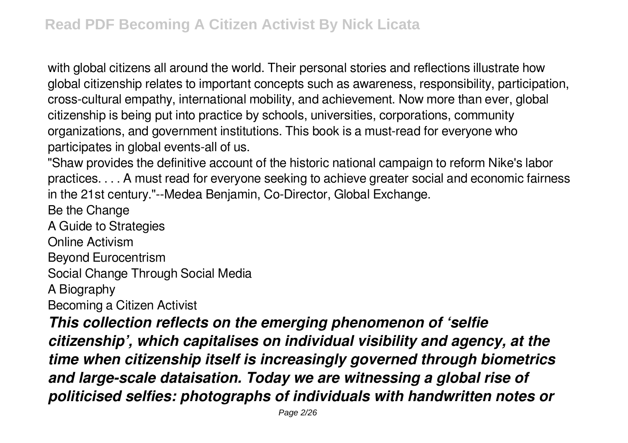with global citizens all around the world. Their personal stories and reflections illustrate how global citizenship relates to important concepts such as awareness, responsibility, participation, cross-cultural empathy, international mobility, and achievement. Now more than ever, global citizenship is being put into practice by schools, universities, corporations, community organizations, and government institutions. This book is a must-read for everyone who participates in global events-all of us.

"Shaw provides the definitive account of the historic national campaign to reform Nike's labor practices. . . . A must read for everyone seeking to achieve greater social and economic fairness in the 21st century."--Medea Benjamin, Co-Director, Global Exchange.

Be the Change

A Guide to Strategies

Online Activism

Beyond Eurocentrism

Social Change Through Social Media

A Biography

Becoming a Citizen Activist

*This collection reflects on the emerging phenomenon of 'selfie citizenship', which capitalises on individual visibility and agency, at the time when citizenship itself is increasingly governed through biometrics and large-scale dataisation. Today we are witnessing a global rise of politicised selfies: photographs of individuals with handwritten notes or*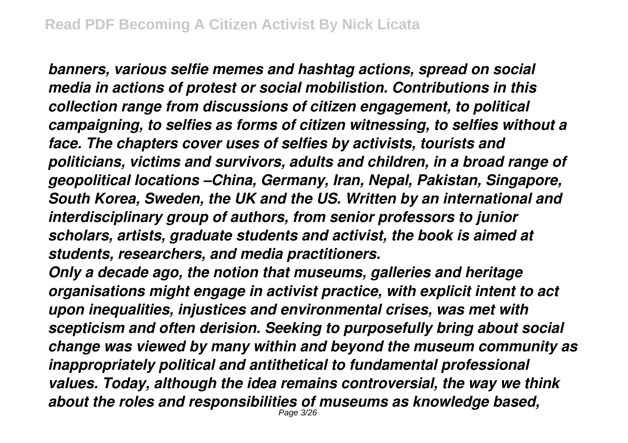*banners, various selfie memes and hashtag actions, spread on social media in actions of protest or social mobilistion. Contributions in this collection range from discussions of citizen engagement, to political campaigning, to selfies as forms of citizen witnessing, to selfies without a face. The chapters cover uses of selfies by activists, tourists and politicians, victims and survivors, adults and children, in a broad range of geopolitical locations –China, Germany, Iran, Nepal, Pakistan, Singapore, South Korea, Sweden, the UK and the US. Written by an international and interdisciplinary group of authors, from senior professors to junior scholars, artists, graduate students and activist, the book is aimed at students, researchers, and media practitioners.*

*Only a decade ago, the notion that museums, galleries and heritage organisations might engage in activist practice, with explicit intent to act upon inequalities, injustices and environmental crises, was met with scepticism and often derision. Seeking to purposefully bring about social change was viewed by many within and beyond the museum community as inappropriately political and antithetical to fundamental professional values. Today, although the idea remains controversial, the way we think about the roles and responsibilities of museums as knowledge based,* Page 3/26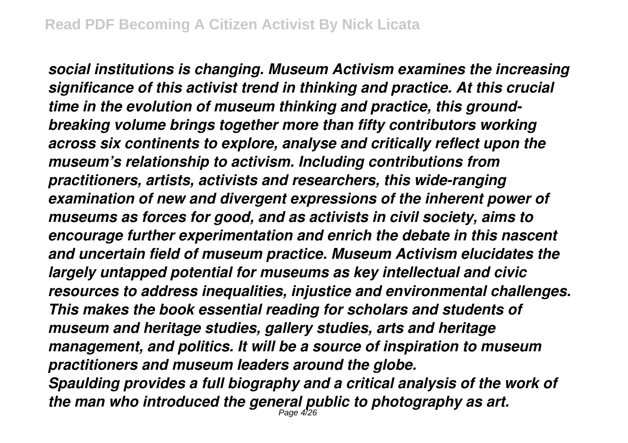*social institutions is changing. Museum Activism examines the increasing significance of this activist trend in thinking and practice. At this crucial time in the evolution of museum thinking and practice, this groundbreaking volume brings together more than fifty contributors working across six continents to explore, analyse and critically reflect upon the museum's relationship to activism. Including contributions from practitioners, artists, activists and researchers, this wide-ranging examination of new and divergent expressions of the inherent power of museums as forces for good, and as activists in civil society, aims to encourage further experimentation and enrich the debate in this nascent and uncertain field of museum practice. Museum Activism elucidates the largely untapped potential for museums as key intellectual and civic resources to address inequalities, injustice and environmental challenges. This makes the book essential reading for scholars and students of museum and heritage studies, gallery studies, arts and heritage management, and politics. It will be a source of inspiration to museum practitioners and museum leaders around the globe. Spaulding provides a full biography and a critical analysis of the work of the man who introduced the general public to photography as art.* Page 4/26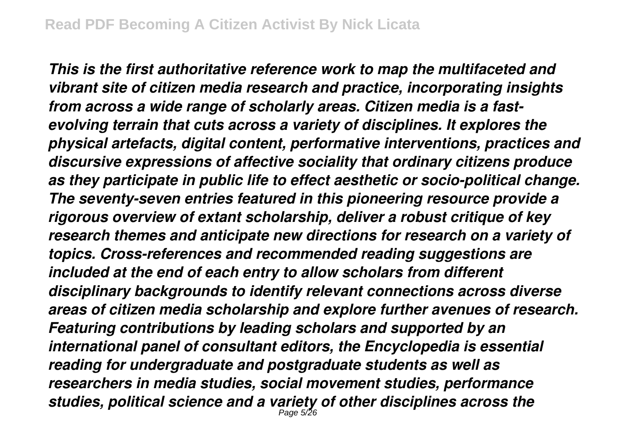*This is the first authoritative reference work to map the multifaceted and vibrant site of citizen media research and practice, incorporating insights from across a wide range of scholarly areas. Citizen media is a fastevolving terrain that cuts across a variety of disciplines. It explores the physical artefacts, digital content, performative interventions, practices and discursive expressions of affective sociality that ordinary citizens produce as they participate in public life to effect aesthetic or socio-political change. The seventy-seven entries featured in this pioneering resource provide a rigorous overview of extant scholarship, deliver a robust critique of key research themes and anticipate new directions for research on a variety of topics. Cross-references and recommended reading suggestions are included at the end of each entry to allow scholars from different disciplinary backgrounds to identify relevant connections across diverse areas of citizen media scholarship and explore further avenues of research. Featuring contributions by leading scholars and supported by an international panel of consultant editors, the Encyclopedia is essential reading for undergraduate and postgraduate students as well as researchers in media studies, social movement studies, performance studies, political science and a variety of other disciplines across the* Page 5/26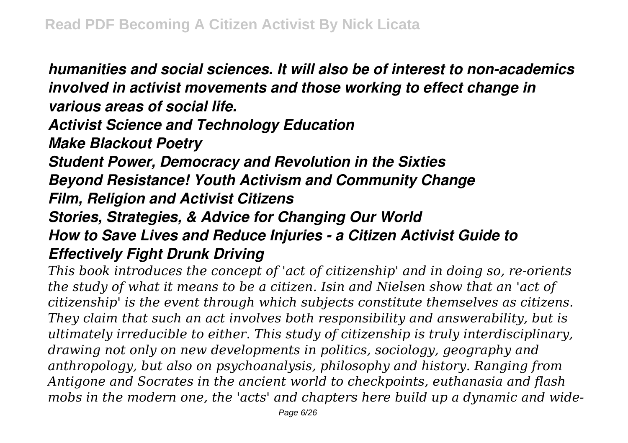*humanities and social sciences. It will also be of interest to non-academics involved in activist movements and those working to effect change in various areas of social life. Activist Science and Technology Education Make Blackout Poetry Student Power, Democracy and Revolution in the Sixties Beyond Resistance! Youth Activism and Community Change Film, Religion and Activist Citizens Stories, Strategies, & Advice for Changing Our World How to Save Lives and Reduce Injuries - a Citizen Activist Guide to Effectively Fight Drunk Driving This book introduces the concept of 'act of citizenship' and in doing so, re-orients*

*the study of what it means to be a citizen. Isin and Nielsen show that an 'act of citizenship' is the event through which subjects constitute themselves as citizens. They claim that such an act involves both responsibility and answerability, but is ultimately irreducible to either. This study of citizenship is truly interdisciplinary, drawing not only on new developments in politics, sociology, geography and anthropology, but also on psychoanalysis, philosophy and history. Ranging from Antigone and Socrates in the ancient world to checkpoints, euthanasia and flash mobs in the modern one, the 'acts' and chapters here build up a dynamic and wide-*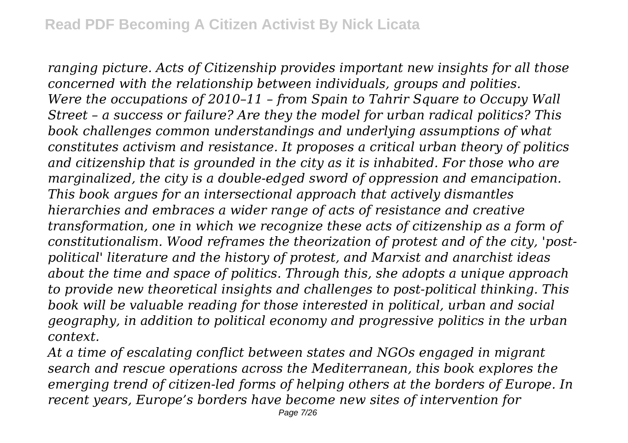*ranging picture. Acts of Citizenship provides important new insights for all those concerned with the relationship between individuals, groups and polities. Were the occupations of 2010–11 – from Spain to Tahrir Square to Occupy Wall Street – a success or failure? Are they the model for urban radical politics? This book challenges common understandings and underlying assumptions of what constitutes activism and resistance. It proposes a critical urban theory of politics and citizenship that is grounded in the city as it is inhabited. For those who are marginalized, the city is a double-edged sword of oppression and emancipation. This book argues for an intersectional approach that actively dismantles hierarchies and embraces a wider range of acts of resistance and creative transformation, one in which we recognize these acts of citizenship as a form of constitutionalism. Wood reframes the theorization of protest and of the city, 'postpolitical' literature and the history of protest, and Marxist and anarchist ideas about the time and space of politics. Through this, she adopts a unique approach to provide new theoretical insights and challenges to post-political thinking. This book will be valuable reading for those interested in political, urban and social geography, in addition to political economy and progressive politics in the urban context.*

*At a time of escalating conflict between states and NGOs engaged in migrant search and rescue operations across the Mediterranean, this book explores the emerging trend of citizen-led forms of helping others at the borders of Europe. In recent years, Europe's borders have become new sites of intervention for*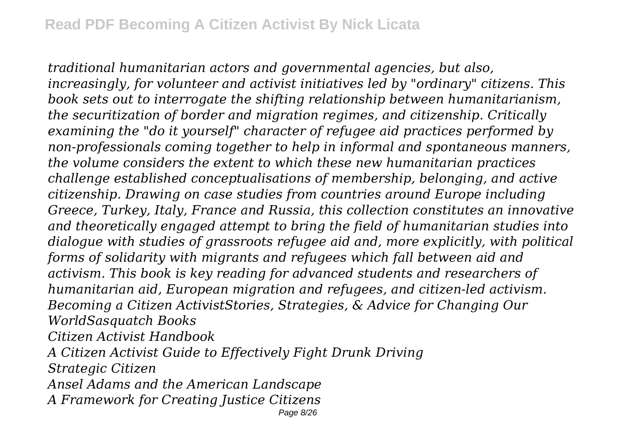*traditional humanitarian actors and governmental agencies, but also, increasingly, for volunteer and activist initiatives led by "ordinary" citizens. This book sets out to interrogate the shifting relationship between humanitarianism, the securitization of border and migration regimes, and citizenship. Critically examining the "do it yourself" character of refugee aid practices performed by non-professionals coming together to help in informal and spontaneous manners, the volume considers the extent to which these new humanitarian practices challenge established conceptualisations of membership, belonging, and active citizenship. Drawing on case studies from countries around Europe including Greece, Turkey, Italy, France and Russia, this collection constitutes an innovative and theoretically engaged attempt to bring the field of humanitarian studies into dialogue with studies of grassroots refugee aid and, more explicitly, with political forms of solidarity with migrants and refugees which fall between aid and activism. This book is key reading for advanced students and researchers of humanitarian aid, European migration and refugees, and citizen-led activism. Becoming a Citizen ActivistStories, Strategies, & Advice for Changing Our WorldSasquatch Books*

*Citizen Activist Handbook*

*A Citizen Activist Guide to Effectively Fight Drunk Driving*

*Strategic Citizen*

*Ansel Adams and the American Landscape*

*A Framework for Creating Justice Citizens*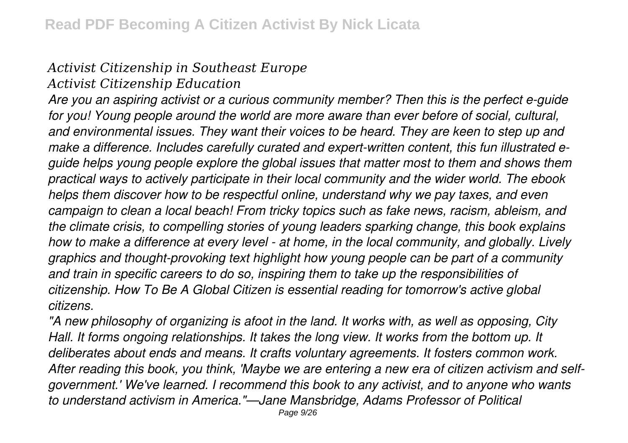# *Activist Citizenship in Southeast Europe*

*Activist Citizenship Education*

*Are you an aspiring activist or a curious community member? Then this is the perfect e-guide for you! Young people around the world are more aware than ever before of social, cultural, and environmental issues. They want their voices to be heard. They are keen to step up and make a difference. Includes carefully curated and expert-written content, this fun illustrated eguide helps young people explore the global issues that matter most to them and shows them practical ways to actively participate in their local community and the wider world. The ebook helps them discover how to be respectful online, understand why we pay taxes, and even campaign to clean a local beach! From tricky topics such as fake news, racism, ableism, and the climate crisis, to compelling stories of young leaders sparking change, this book explains how to make a difference at every level - at home, in the local community, and globally. Lively graphics and thought-provoking text highlight how young people can be part of a community and train in specific careers to do so, inspiring them to take up the responsibilities of citizenship. How To Be A Global Citizen is essential reading for tomorrow's active global citizens.*

*"A new philosophy of organizing is afoot in the land. It works with, as well as opposing, City Hall. It forms ongoing relationships. It takes the long view. It works from the bottom up. It deliberates about ends and means. It crafts voluntary agreements. It fosters common work. After reading this book, you think, 'Maybe we are entering a new era of citizen activism and selfgovernment.' We've learned. I recommend this book to any activist, and to anyone who wants to understand activism in America."—Jane Mansbridge, Adams Professor of Political*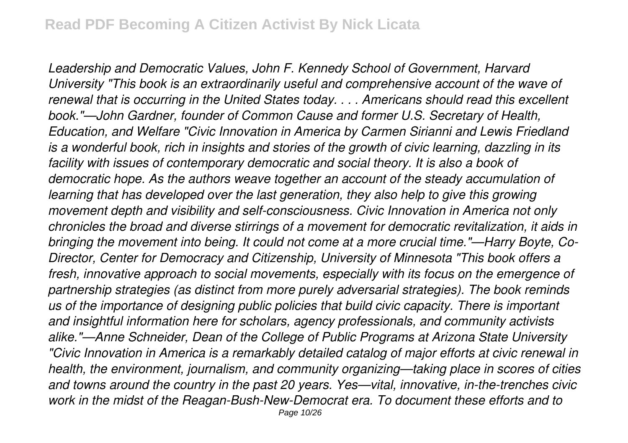*Leadership and Democratic Values, John F. Kennedy School of Government, Harvard University "This book is an extraordinarily useful and comprehensive account of the wave of renewal that is occurring in the United States today. . . . Americans should read this excellent book."—John Gardner, founder of Common Cause and former U.S. Secretary of Health, Education, and Welfare "Civic Innovation in America by Carmen Sirianni and Lewis Friedland is a wonderful book, rich in insights and stories of the growth of civic learning, dazzling in its facility with issues of contemporary democratic and social theory. It is also a book of democratic hope. As the authors weave together an account of the steady accumulation of learning that has developed over the last generation, they also help to give this growing movement depth and visibility and self-consciousness. Civic Innovation in America not only chronicles the broad and diverse stirrings of a movement for democratic revitalization, it aids in bringing the movement into being. It could not come at a more crucial time."—Harry Boyte, Co-Director, Center for Democracy and Citizenship, University of Minnesota "This book offers a fresh, innovative approach to social movements, especially with its focus on the emergence of partnership strategies (as distinct from more purely adversarial strategies). The book reminds us of the importance of designing public policies that build civic capacity. There is important and insightful information here for scholars, agency professionals, and community activists alike."—Anne Schneider, Dean of the College of Public Programs at Arizona State University "Civic Innovation in America is a remarkably detailed catalog of major efforts at civic renewal in health, the environment, journalism, and community organizing—taking place in scores of cities and towns around the country in the past 20 years. Yes—vital, innovative, in-the-trenches civic work in the midst of the Reagan-Bush-New-Democrat era. To document these efforts and to* Page 10/26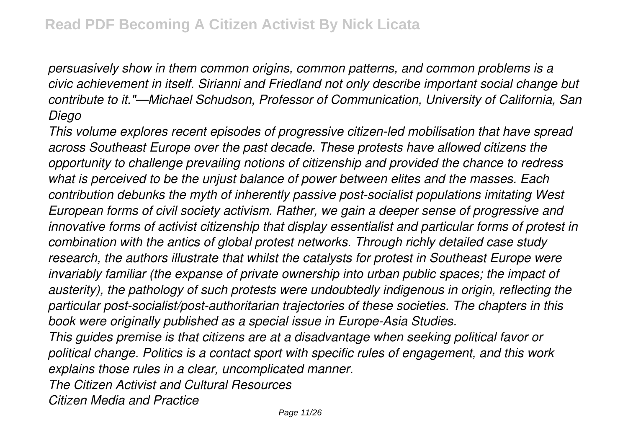*persuasively show in them common origins, common patterns, and common problems is a civic achievement in itself. Sirianni and Friedland not only describe important social change but contribute to it."—Michael Schudson, Professor of Communication, University of California, San Diego*

*This volume explores recent episodes of progressive citizen-led mobilisation that have spread across Southeast Europe over the past decade. These protests have allowed citizens the opportunity to challenge prevailing notions of citizenship and provided the chance to redress what is perceived to be the unjust balance of power between elites and the masses. Each contribution debunks the myth of inherently passive post-socialist populations imitating West European forms of civil society activism. Rather, we gain a deeper sense of progressive and innovative forms of activist citizenship that display essentialist and particular forms of protest in combination with the antics of global protest networks. Through richly detailed case study research, the authors illustrate that whilst the catalysts for protest in Southeast Europe were invariably familiar (the expanse of private ownership into urban public spaces; the impact of austerity), the pathology of such protests were undoubtedly indigenous in origin, reflecting the particular post-socialist/post-authoritarian trajectories of these societies. The chapters in this book were originally published as a special issue in Europe-Asia Studies. This guides premise is that citizens are at a disadvantage when seeking political favor or political change. Politics is a contact sport with specific rules of engagement, and this work*

*explains those rules in a clear, uncomplicated manner.*

*The Citizen Activist and Cultural Resources*

*Citizen Media and Practice*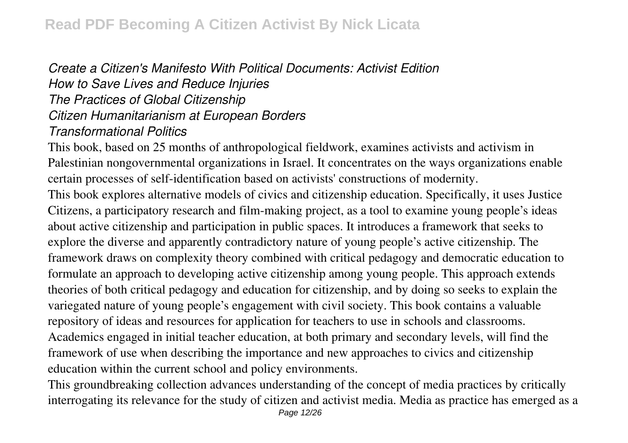### *Create a Citizen's Manifesto With Political Documents: Activist Edition How to Save Lives and Reduce Injuries The Practices of Global Citizenship Citizen Humanitarianism at European Borders Transformational Politics*

This book, based on 25 months of anthropological fieldwork, examines activists and activism in Palestinian nongovernmental organizations in Israel. It concentrates on the ways organizations enable certain processes of self-identification based on activists' constructions of modernity.

This book explores alternative models of civics and citizenship education. Specifically, it uses Justice Citizens, a participatory research and film-making project, as a tool to examine young people's ideas about active citizenship and participation in public spaces. It introduces a framework that seeks to explore the diverse and apparently contradictory nature of young people's active citizenship. The framework draws on complexity theory combined with critical pedagogy and democratic education to formulate an approach to developing active citizenship among young people. This approach extends theories of both critical pedagogy and education for citizenship, and by doing so seeks to explain the variegated nature of young people's engagement with civil society. This book contains a valuable repository of ideas and resources for application for teachers to use in schools and classrooms. Academics engaged in initial teacher education, at both primary and secondary levels, will find the framework of use when describing the importance and new approaches to civics and citizenship education within the current school and policy environments.

This groundbreaking collection advances understanding of the concept of media practices by critically interrogating its relevance for the study of citizen and activist media. Media as practice has emerged as a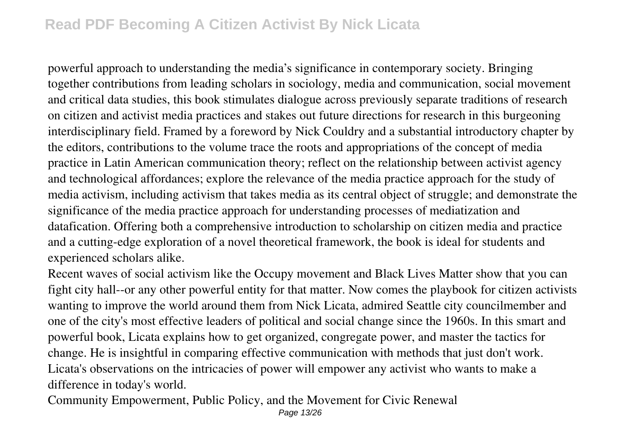### **Read PDF Becoming A Citizen Activist By Nick Licata**

powerful approach to understanding the media's significance in contemporary society. Bringing together contributions from leading scholars in sociology, media and communication, social movement and critical data studies, this book stimulates dialogue across previously separate traditions of research on citizen and activist media practices and stakes out future directions for research in this burgeoning interdisciplinary field. Framed by a foreword by Nick Couldry and a substantial introductory chapter by the editors, contributions to the volume trace the roots and appropriations of the concept of media practice in Latin American communication theory; reflect on the relationship between activist agency and technological affordances; explore the relevance of the media practice approach for the study of media activism, including activism that takes media as its central object of struggle; and demonstrate the significance of the media practice approach for understanding processes of mediatization and datafication. Offering both a comprehensive introduction to scholarship on citizen media and practice and a cutting-edge exploration of a novel theoretical framework, the book is ideal for students and experienced scholars alike.

Recent waves of social activism like the Occupy movement and Black Lives Matter show that you can fight city hall--or any other powerful entity for that matter. Now comes the playbook for citizen activists wanting to improve the world around them from Nick Licata, admired Seattle city councilmember and one of the city's most effective leaders of political and social change since the 1960s. In this smart and powerful book, Licata explains how to get organized, congregate power, and master the tactics for change. He is insightful in comparing effective communication with methods that just don't work. Licata's observations on the intricacies of power will empower any activist who wants to make a difference in today's world.

Community Empowerment, Public Policy, and the Movement for Civic Renewal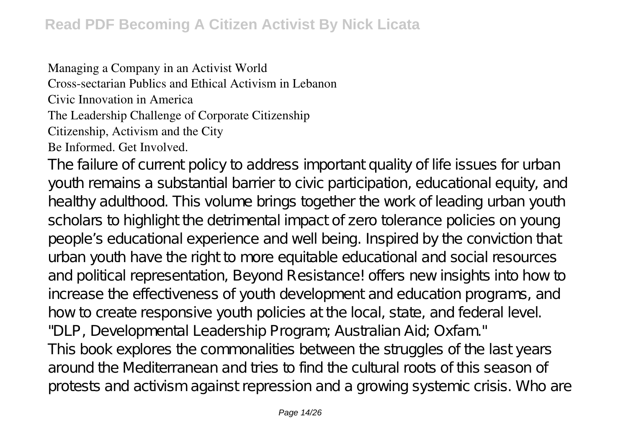Managing a Company in an Activist World Cross-sectarian Publics and Ethical Activism in Lebanon Civic Innovation in America The Leadership Challenge of Corporate Citizenship Citizenship, Activism and the City Be Informed. Get Involved.

The failure of current policy to address important quality of life issues for urban youth remains a substantial barrier to civic participation, educational equity, and healthy adulthood. This volume brings together the work of leading urban youth scholars to highlight the detrimental impact of zero tolerance policies on young people's educational experience and well being. Inspired by the conviction that urban youth have the right to more equitable educational and social resources and political representation, Beyond Resistance! offers new insights into how to increase the effectiveness of youth development and education programs, and how to create responsive youth policies at the local, state, and federal level. "DLP, Developmental Leadership Program; Australian Aid; Oxfam." This book explores the commonalities between the struggles of the last years around the Mediterranean and tries to find the cultural roots of this season of protests and activism against repression and a growing systemic crisis. Who are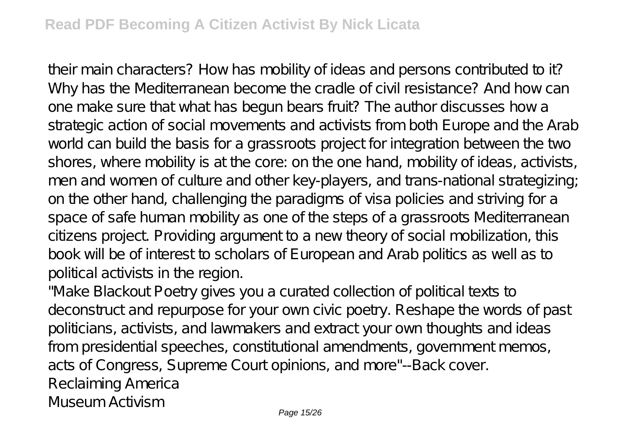their main characters? How has mobility of ideas and persons contributed to it? Why has the Mediterranean become the cradle of civil resistance? And how can one make sure that what has begun bears fruit? The author discusses how a strategic action of social movements and activists from both Europe and the Arab world can build the basis for a grassroots project for integration between the two shores, where mobility is at the core: on the one hand, mobility of ideas, activists, men and women of culture and other key-players, and trans-national strategizing; on the other hand, challenging the paradigms of visa policies and striving for a space of safe human mobility as one of the steps of a grassroots Mediterranean citizens project. Providing argument to a new theory of social mobilization, this book will be of interest to scholars of European and Arab politics as well as to political activists in the region.

"Make Blackout Poetry gives you a curated collection of political texts to deconstruct and repurpose for your own civic poetry. Reshape the words of past politicians, activists, and lawmakers and extract your own thoughts and ideas from presidential speeches, constitutional amendments, government memos, acts of Congress, Supreme Court opinions, and more"--Back cover. Reclaiming America Museum Activism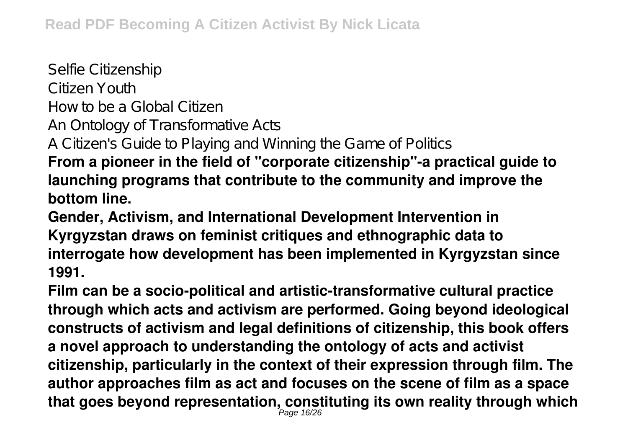Selfie Citizenship Citizen Youth How to be a Global Citizen An Ontology of Transformative Acts A Citizen's Guide to Playing and Winning the Game of Politics **From a pioneer in the field of "corporate citizenship"-a practical guide to launching programs that contribute to the community and improve the bottom line.**

**Gender, Activism, and International Development Intervention in Kyrgyzstan draws on feminist critiques and ethnographic data to interrogate how development has been implemented in Kyrgyzstan since 1991.**

**Film can be a socio-political and artistic-transformative cultural practice through which acts and activism are performed. Going beyond ideological constructs of activism and legal definitions of citizenship, this book offers a novel approach to understanding the ontology of acts and activist citizenship, particularly in the context of their expression through film. The author approaches film as act and focuses on the scene of film as a space that goes beyond representation, constituting its own reality through which** Page 16/26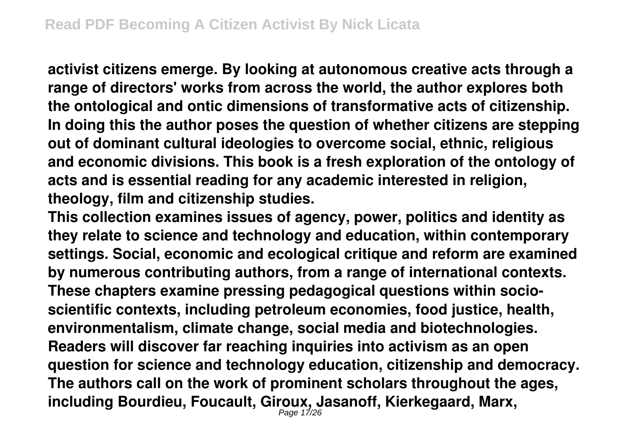**activist citizens emerge. By looking at autonomous creative acts through a range of directors' works from across the world, the author explores both the ontological and ontic dimensions of transformative acts of citizenship. In doing this the author poses the question of whether citizens are stepping out of dominant cultural ideologies to overcome social, ethnic, religious and economic divisions. This book is a fresh exploration of the ontology of acts and is essential reading for any academic interested in religion, theology, film and citizenship studies.**

**This collection examines issues of agency, power, politics and identity as they relate to science and technology and education, within contemporary settings. Social, economic and ecological critique and reform are examined by numerous contributing authors, from a range of international contexts. These chapters examine pressing pedagogical questions within socioscientific contexts, including petroleum economies, food justice, health, environmentalism, climate change, social media and biotechnologies. Readers will discover far reaching inquiries into activism as an open question for science and technology education, citizenship and democracy. The authors call on the work of prominent scholars throughout the ages, including Bourdieu, Foucault, Giroux, Jasanoff, Kierkegaard, Marx,** Page 17/26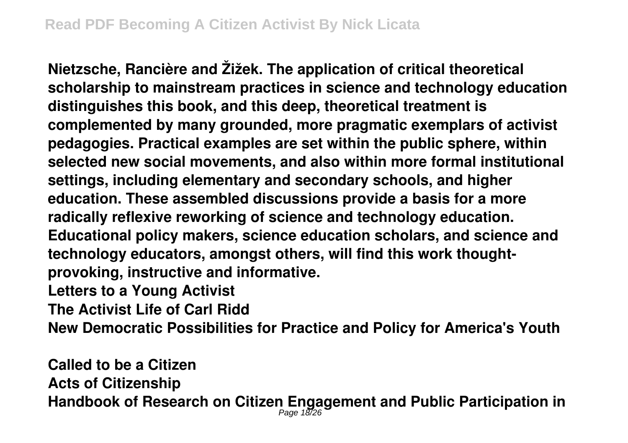**Nietzsche, Rancière and Žižek. The application of critical theoretical scholarship to mainstream practices in science and technology education distinguishes this book, and this deep, theoretical treatment is complemented by many grounded, more pragmatic exemplars of activist pedagogies. Practical examples are set within the public sphere, within selected new social movements, and also within more formal institutional settings, including elementary and secondary schools, and higher education. These assembled discussions provide a basis for a more radically reflexive reworking of science and technology education. Educational policy makers, science education scholars, and science and technology educators, amongst others, will find this work thoughtprovoking, instructive and informative. Letters to a Young Activist**

**The Activist Life of Carl Ridd**

**New Democratic Possibilities for Practice and Policy for America's Youth**

**Called to be a Citizen Acts of Citizenship Handbook of Research on Citizen Engagement and Public Participation in** Page 18/26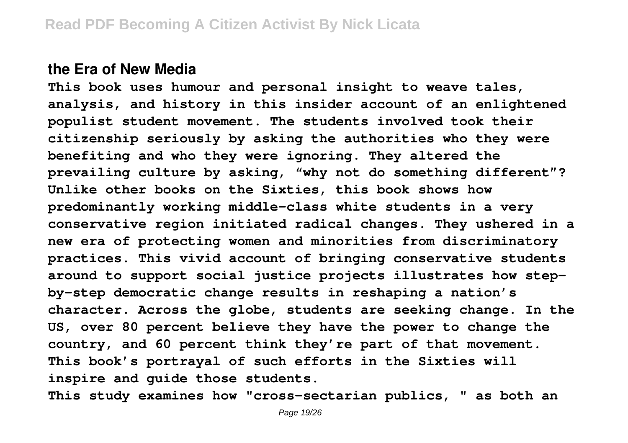#### **the Era of New Media**

**This book uses humour and personal insight to weave tales, analysis, and history in this insider account of an enlightened populist student movement. The students involved took their citizenship seriously by asking the authorities who they were benefiting and who they were ignoring. They altered the prevailing culture by asking, "why not do something different"? Unlike other books on the Sixties, this book shows how predominantly working middle-class white students in a very conservative region initiated radical changes. They ushered in a new era of protecting women and minorities from discriminatory practices. This vivid account of bringing conservative students around to support social justice projects illustrates how stepby-step democratic change results in reshaping a nation's character. Across the globe, students are seeking change. In the US, over 80 percent believe they have the power to change the country, and 60 percent think they're part of that movement. This book's portrayal of such efforts in the Sixties will inspire and guide those students.**

**This study examines how "cross-sectarian publics, " as both an**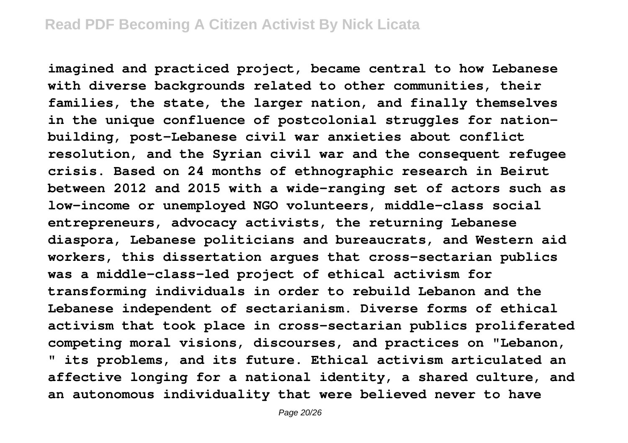**imagined and practiced project, became central to how Lebanese with diverse backgrounds related to other communities, their families, the state, the larger nation, and finally themselves in the unique confluence of postcolonial struggles for nationbuilding, post-Lebanese civil war anxieties about conflict resolution, and the Syrian civil war and the consequent refugee crisis. Based on 24 months of ethnographic research in Beirut between 2012 and 2015 with a wide-ranging set of actors such as low-income or unemployed NGO volunteers, middle-class social entrepreneurs, advocacy activists, the returning Lebanese diaspora, Lebanese politicians and bureaucrats, and Western aid workers, this dissertation argues that cross-sectarian publics was a middle-class-led project of ethical activism for transforming individuals in order to rebuild Lebanon and the Lebanese independent of sectarianism. Diverse forms of ethical activism that took place in cross-sectarian publics proliferated competing moral visions, discourses, and practices on "Lebanon, " its problems, and its future. Ethical activism articulated an affective longing for a national identity, a shared culture, and an autonomous individuality that were believed never to have**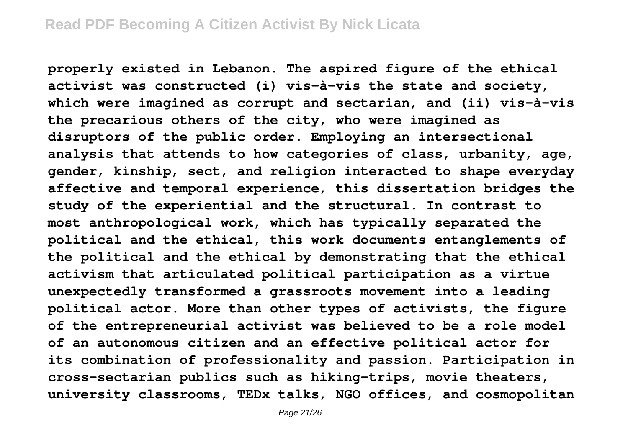**properly existed in Lebanon. The aspired figure of the ethical activist was constructed (i) vis-à-vis the state and society, which were imagined as corrupt and sectarian, and (ii) vis-à-vis the precarious others of the city, who were imagined as disruptors of the public order. Employing an intersectional analysis that attends to how categories of class, urbanity, age, gender, kinship, sect, and religion interacted to shape everyday affective and temporal experience, this dissertation bridges the study of the experiential and the structural. In contrast to most anthropological work, which has typically separated the political and the ethical, this work documents entanglements of the political and the ethical by demonstrating that the ethical activism that articulated political participation as a virtue unexpectedly transformed a grassroots movement into a leading political actor. More than other types of activists, the figure of the entrepreneurial activist was believed to be a role model of an autonomous citizen and an effective political actor for its combination of professionality and passion. Participation in cross-sectarian publics such as hiking-trips, movie theaters, university classrooms, TEDx talks, NGO offices, and cosmopolitan**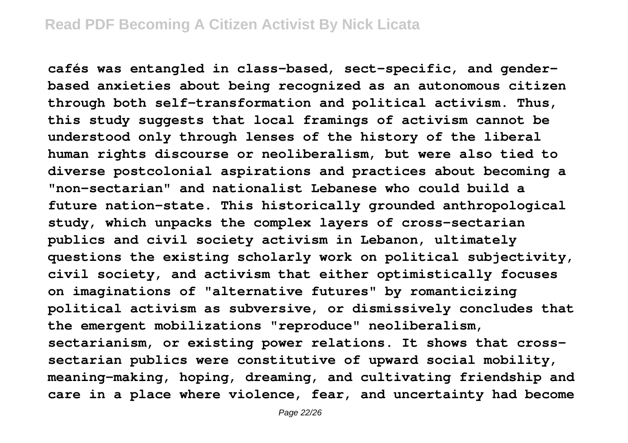**cafés was entangled in class-based, sect-specific, and genderbased anxieties about being recognized as an autonomous citizen through both self-transformation and political activism. Thus, this study suggests that local framings of activism cannot be understood only through lenses of the history of the liberal human rights discourse or neoliberalism, but were also tied to diverse postcolonial aspirations and practices about becoming a "non-sectarian" and nationalist Lebanese who could build a future nation-state. This historically grounded anthropological study, which unpacks the complex layers of cross-sectarian publics and civil society activism in Lebanon, ultimately questions the existing scholarly work on political subjectivity, civil society, and activism that either optimistically focuses on imaginations of "alternative futures" by romanticizing political activism as subversive, or dismissively concludes that the emergent mobilizations "reproduce" neoliberalism, sectarianism, or existing power relations. It shows that crosssectarian publics were constitutive of upward social mobility, meaning-making, hoping, dreaming, and cultivating friendship and care in a place where violence, fear, and uncertainty had become**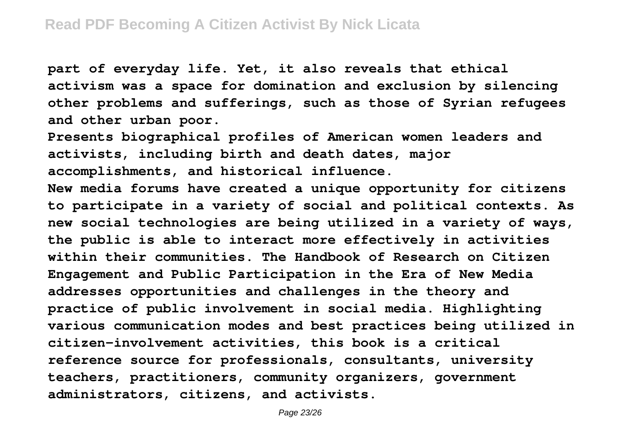**part of everyday life. Yet, it also reveals that ethical activism was a space for domination and exclusion by silencing other problems and sufferings, such as those of Syrian refugees and other urban poor.**

**Presents biographical profiles of American women leaders and activists, including birth and death dates, major accomplishments, and historical influence.**

**New media forums have created a unique opportunity for citizens to participate in a variety of social and political contexts. As new social technologies are being utilized in a variety of ways, the public is able to interact more effectively in activities within their communities. The Handbook of Research on Citizen Engagement and Public Participation in the Era of New Media addresses opportunities and challenges in the theory and practice of public involvement in social media. Highlighting various communication modes and best practices being utilized in citizen-involvement activities, this book is a critical reference source for professionals, consultants, university teachers, practitioners, community organizers, government administrators, citizens, and activists.**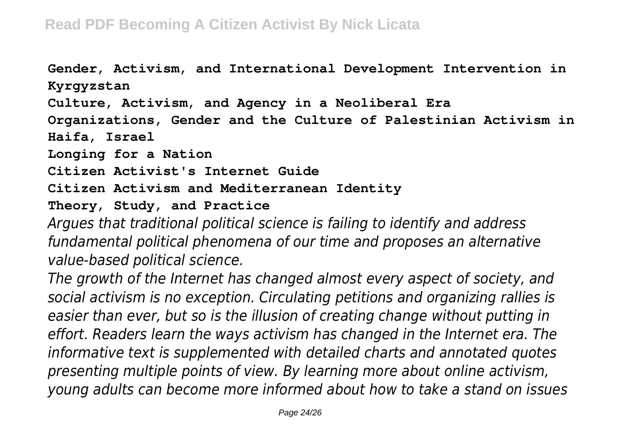**Gender, Activism, and International Development Intervention in Kyrgyzstan Culture, Activism, and Agency in a Neoliberal Era Organizations, Gender and the Culture of Palestinian Activism in Haifa, Israel Longing for a Nation Citizen Activist's Internet Guide Citizen Activism and Mediterranean Identity Theory, Study, and Practice** *Argues that traditional political science is failing to identify and address fundamental political phenomena of our time and proposes an alternative*

*value-based political science.*

*The growth of the Internet has changed almost every aspect of society, and social activism is no exception. Circulating petitions and organizing rallies is easier than ever, but so is the illusion of creating change without putting in effort. Readers learn the ways activism has changed in the Internet era. The informative text is supplemented with detailed charts and annotated quotes presenting multiple points of view. By learning more about online activism, young adults can become more informed about how to take a stand on issues*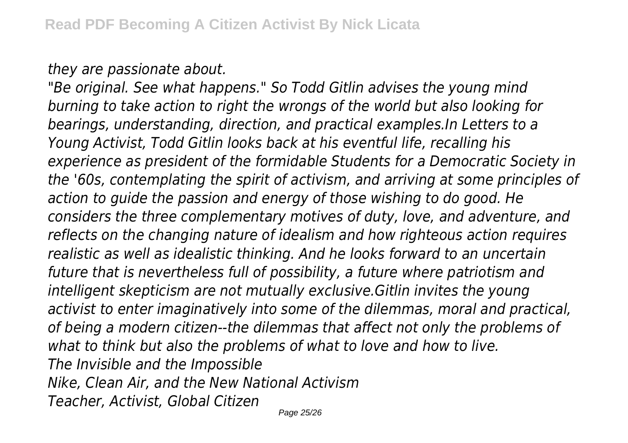*they are passionate about.*

*"Be original. See what happens." So Todd Gitlin advises the young mind burning to take action to right the wrongs of the world but also looking for bearings, understanding, direction, and practical examples.In Letters to a Young Activist, Todd Gitlin looks back at his eventful life, recalling his experience as president of the formidable Students for a Democratic Society in the '60s, contemplating the spirit of activism, and arriving at some principles of action to guide the passion and energy of those wishing to do good. He considers the three complementary motives of duty, love, and adventure, and reflects on the changing nature of idealism and how righteous action requires realistic as well as idealistic thinking. And he looks forward to an uncertain future that is nevertheless full of possibility, a future where patriotism and intelligent skepticism are not mutually exclusive.Gitlin invites the young activist to enter imaginatively into some of the dilemmas, moral and practical, of being a modern citizen--the dilemmas that affect not only the problems of what to think but also the problems of what to love and how to live. The Invisible and the Impossible Nike, Clean Air, and the New National Activism Teacher, Activist, Global Citizen*